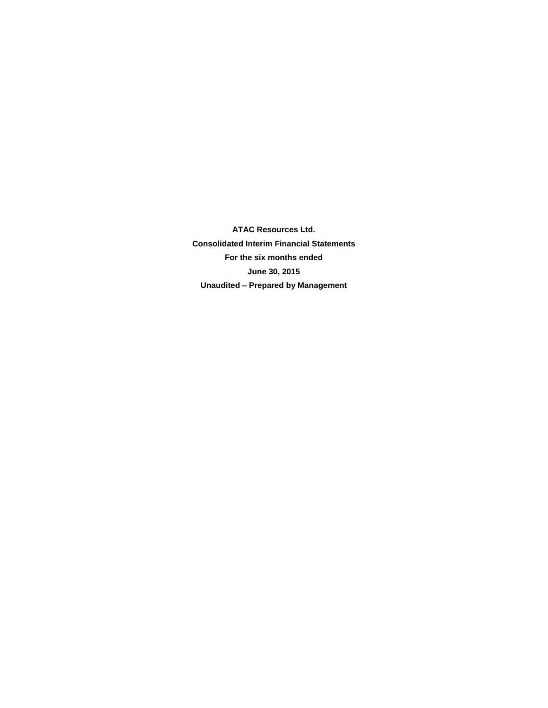**ATAC Resources Ltd. Consolidated Interim Financial Statements For the six months ended June 30, 2015 Unaudited – Prepared by Management**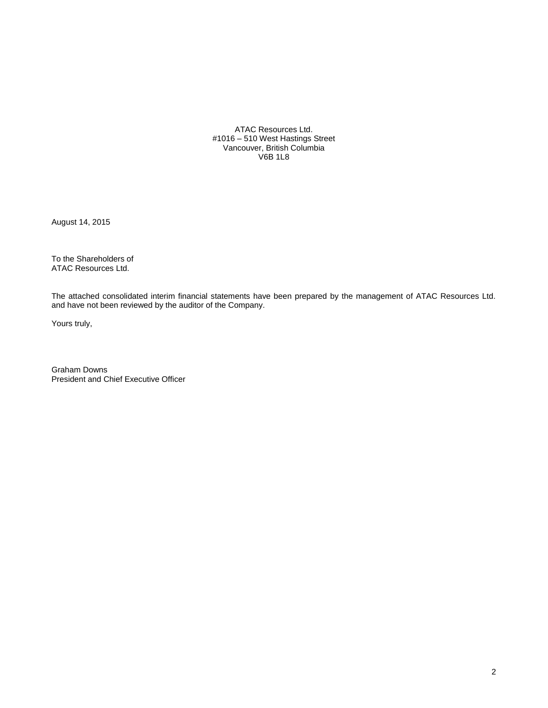ATAC Resources Ltd. #1016 – 510 West Hastings Street Vancouver, British Columbia V6B 1L8

August 14, 2015

To the Shareholders of ATAC Resources Ltd.

The attached consolidated interim financial statements have been prepared by the management of ATAC Resources Ltd. and have not been reviewed by the auditor of the Company.

Yours truly,

Graham Downs President and Chief Executive Officer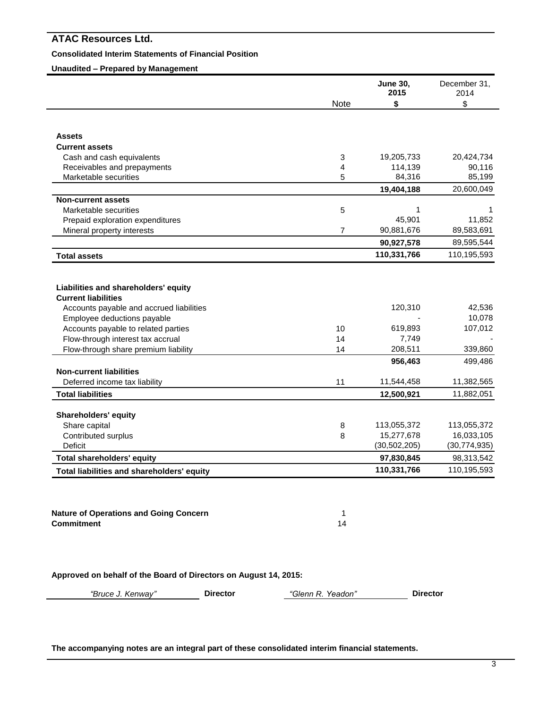# **Consolidated Interim Statements of Financial Position**

# **Unaudited – Prepared by Management**

|                                                                    |                | <b>June 30,</b><br>2015      | December 31,<br>2014                                      |
|--------------------------------------------------------------------|----------------|------------------------------|-----------------------------------------------------------|
|                                                                    | Note           | \$                           | \$                                                        |
| <b>Assets</b>                                                      |                |                              |                                                           |
| <b>Current assets</b>                                              |                |                              |                                                           |
| Cash and cash equivalents                                          | 3              | 19,205,733                   | 20,424,734                                                |
| Receivables and prepayments                                        | 4              | 114,139                      | 90,116                                                    |
| Marketable securities                                              | 5              | 84,316                       | 85,199                                                    |
|                                                                    |                | 19,404,188                   | 20,600,049                                                |
| <b>Non-current assets</b>                                          |                |                              |                                                           |
| Marketable securities                                              | 5              | 1                            | 1                                                         |
| Prepaid exploration expenditures                                   |                | 45,901                       | 11,852                                                    |
| Mineral property interests                                         | $\overline{7}$ | 90,881,676                   | 89,583,691                                                |
|                                                                    |                | 90,927,578                   | 89,595,544                                                |
| <b>Total assets</b>                                                |                | 110,331,766                  | 110,195,593                                               |
|                                                                    |                |                              |                                                           |
|                                                                    |                |                              |                                                           |
| Liabilities and shareholders' equity<br><b>Current liabilities</b> |                |                              |                                                           |
| Accounts payable and accrued liabilities                           |                | 120,310                      |                                                           |
| Employee deductions payable                                        |                |                              |                                                           |
| Accounts payable to related parties                                | 10             | 619,893                      |                                                           |
| Flow-through interest tax accrual                                  | 14             | 7,749                        |                                                           |
| Flow-through share premium liability                               | 14             | 208,511                      | 42,536<br>10,078<br>107,012<br>339,860                    |
|                                                                    |                | 956,463                      | 499,486                                                   |
| <b>Non-current liabilities</b>                                     |                |                              |                                                           |
| Deferred income tax liability<br><b>Total liabilities</b>          | 11             | 11,544,458<br>12,500,921     | 11,382,565<br>11,882,051                                  |
|                                                                    |                |                              |                                                           |
| <b>Shareholders' equity</b>                                        |                |                              |                                                           |
| Share capital                                                      | 8              | 113,055,372                  |                                                           |
| Contributed surplus                                                | 8              | 15,277,678                   |                                                           |
| Deficit<br><b>Total shareholders' equity</b>                       |                | (30, 502, 205)<br>97,830,845 | 113,055,372<br>16,033,105<br>(30, 774, 935)<br>98,313,542 |

**Nature of Operations and Going Concern** 1 **Commitment** 14

**Approved on behalf of the Board of Directors on August 14, 2015:**

*"Bruce J. Kenway"* **Director** *"Glenn R. Yeadon"* **Director**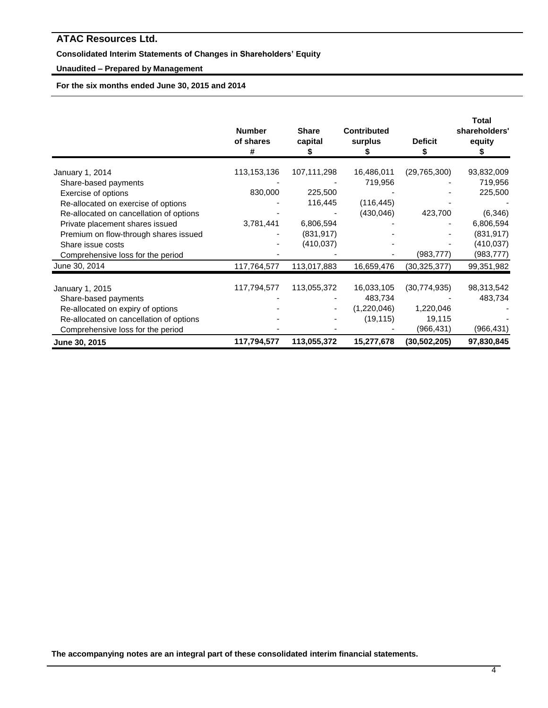# **Consolidated Interim Statements of Changes in Shareholders' Equity**

# **Unaudited – Prepared by Management**

**For the six months ended June 30, 2015 and 2014**

|                                         | <b>Number</b><br>of shares<br># | <b>Share</b><br>capital | <b>Contributed</b><br>surplus | <b>Deficit</b><br>S | Total<br>shareholders'<br>equity |
|-----------------------------------------|---------------------------------|-------------------------|-------------------------------|---------------------|----------------------------------|
| January 1, 2014                         | 113,153,136                     | 107,111,298             | 16,486,011                    | (29, 765, 300)      | 93,832,009                       |
| Share-based payments                    |                                 |                         | 719,956                       |                     | 719,956                          |
| Exercise of options                     | 830,000                         | 225,500                 |                               |                     | 225,500                          |
| Re-allocated on exercise of options     |                                 | 116,445                 | (116, 445)                    |                     |                                  |
| Re-allocated on cancellation of options |                                 |                         | (430, 046)                    | 423,700             | (6, 346)                         |
| Private placement shares issued         | 3,781,441                       | 6,806,594               |                               |                     | 6,806,594                        |
| Premium on flow-through shares issued   |                                 | (831, 917)              |                               |                     | (831, 917)                       |
| Share issue costs                       |                                 | (410, 037)              |                               |                     | (410,037)                        |
| Comprehensive loss for the period       |                                 |                         |                               | (983, 777)          | (983, 777)                       |
| June 30, 2014                           | 117,764,577                     | 113,017,883             | 16,659,476                    | (30,325,377)        | 99,351,982                       |
| January 1, 2015                         | 117,794,577                     | 113,055,372             | 16,033,105                    | (30, 774, 935)      | 98,313,542                       |
| Share-based payments                    |                                 |                         | 483,734                       |                     | 483,734                          |
| Re-allocated on expiry of options       |                                 |                         | (1,220,046)                   | 1,220,046           |                                  |
| Re-allocated on cancellation of options |                                 |                         | (19, 115)                     | 19,115              |                                  |
| Comprehensive loss for the period       |                                 |                         |                               | (966, 431)          | (966, 431)                       |
| June 30, 2015                           | 117,794,577                     | 113,055,372             | 15,277,678                    | (30, 502, 205)      | 97,830,845                       |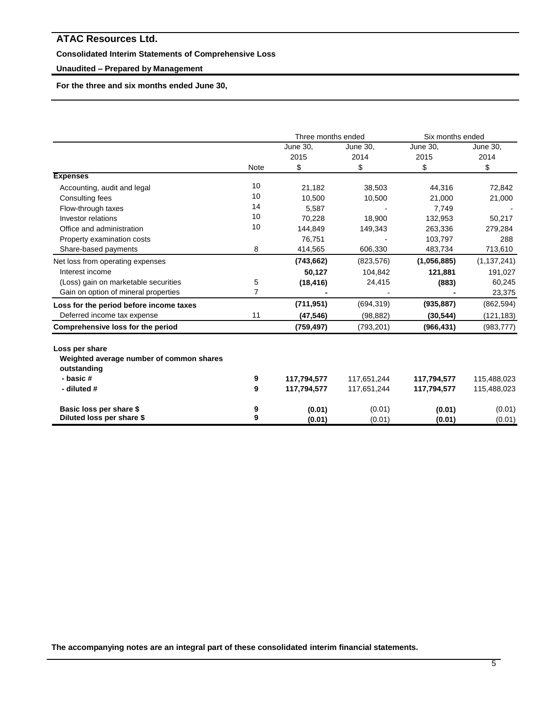# **Consolidated Interim Statements of Comprehensive Loss**

# **Unaudited – Prepared by Management**

**For the three and six months ended June 30,** 

|                                                            |             |                 | Three months ended |             | Six months ended |
|------------------------------------------------------------|-------------|-----------------|--------------------|-------------|------------------|
|                                                            |             | <b>June 30.</b> | June 30,           | June 30,    | June 30,         |
|                                                            |             | 2015            | 2014               | 2015        | 2014             |
|                                                            | <b>Note</b> | \$              | \$                 | \$          | \$               |
| <b>Expenses</b>                                            |             |                 |                    |             |                  |
| Accounting, audit and legal                                | 10          | 21,182          | 38,503             | 44,316      | 72,842           |
| Consulting fees                                            | 10          | 10,500          | 10,500             | 21,000      | 21,000           |
| Flow-through taxes                                         | 14          | 5,587           |                    | 7,749       |                  |
| Investor relations                                         | 10          | 70,228          | 18,900             | 132,953     | 50,217           |
| Office and administration                                  | 10          | 144.849         | 149,343            | 263,336     | 279,284          |
| Property examination costs                                 |             | 76,751          |                    | 103,797     | 288              |
| Share-based payments                                       | 8           | 414,565         | 606,330            | 483,734     | 713,610          |
| Net loss from operating expenses                           |             | (743, 662)      | (823, 576)         | (1,056,885) | (1, 137, 241)    |
| Interest income                                            |             | 50,127          | 104,842            | 121,881     | 191,027          |
| (Loss) gain on marketable securities                       | 5           | (18, 416)       | 24,415             | (883)       | 60,245           |
| Gain on option of mineral properties                       | 7           |                 |                    |             | 23,375           |
| Loss for the period before income taxes                    |             | (711, 951)      | (694, 319)         | (935, 887)  | (862, 594)       |
| Deferred income tax expense                                | 11          | (47, 546)       | (98, 882)          | (30, 544)   | (121,183)        |
| <b>Comprehensive loss for the period</b>                   |             | (759, 497)      | (793, 201)         | (966, 431)  | (983, 777)       |
| Loss per share<br>Weighted average number of common shares |             |                 |                    |             |                  |
| outstanding                                                |             |                 |                    |             |                  |
| - basic #                                                  | 9           | 117,794,577     | 117,651,244        | 117,794,577 | 115,488,023      |
| - diluted #                                                | 9           | 117,794,577     | 117,651,244        | 117,794,577 | 115,488,023      |
| Basic loss per share \$                                    | 9           | (0.01)          | (0.01)             | (0.01)      | (0.01)           |
| Diluted loss per share \$                                  | 9           | (0.01)          | (0.01)             | (0.01)      | (0.01)           |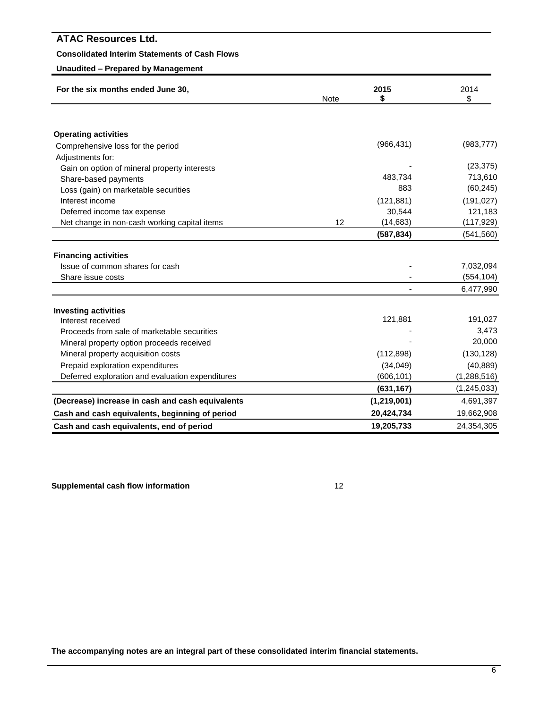# **Consolidated Interim Statements of Cash Flows**

# **Unaudited – Prepared by Management**

| For the six months ended June 30,                | Note | 2015<br>\$  | 2014<br>\$    |
|--------------------------------------------------|------|-------------|---------------|
|                                                  |      |             |               |
| <b>Operating activities</b>                      |      |             |               |
| Comprehensive loss for the period                |      | (966, 431)  | (983, 777)    |
| Adjustments for:                                 |      |             |               |
| Gain on option of mineral property interests     |      |             | (23, 375)     |
| Share-based payments                             |      | 483,734     | 713,610       |
| Loss (gain) on marketable securities             |      | 883         | (60, 245)     |
| Interest income                                  |      | (121, 881)  | (191, 027)    |
| Deferred income tax expense                      |      | 30,544      | 121,183       |
| Net change in non-cash working capital items     | 12   | (14, 683)   | (117, 929)    |
|                                                  |      | (587, 834)  | (541, 560)    |
|                                                  |      |             |               |
| <b>Financing activities</b>                      |      |             |               |
| Issue of common shares for cash                  |      |             | 7,032,094     |
| Share issue costs                                |      |             | (554, 104)    |
|                                                  |      |             | 6,477,990     |
| <b>Investing activities</b>                      |      |             |               |
| Interest received                                |      | 121,881     | 191,027       |
| Proceeds from sale of marketable securities      |      |             | 3,473         |
| Mineral property option proceeds received        |      |             | 20,000        |
| Mineral property acquisition costs               |      | (112, 898)  | (130, 128)    |
| Prepaid exploration expenditures                 |      | (34,049)    | (40, 889)     |
| Deferred exploration and evaluation expenditures |      | (606, 101)  | (1,288,516)   |
|                                                  |      | (631, 167)  | (1, 245, 033) |
| (Decrease) increase in cash and cash equivalents |      | (1,219,001) | 4,691,397     |
| Cash and cash equivalents, beginning of period   |      | 20,424,734  | 19,662,908    |
| Cash and cash equivalents, end of period         |      | 19,205,733  | 24,354,305    |

**Supplemental cash flow information** 12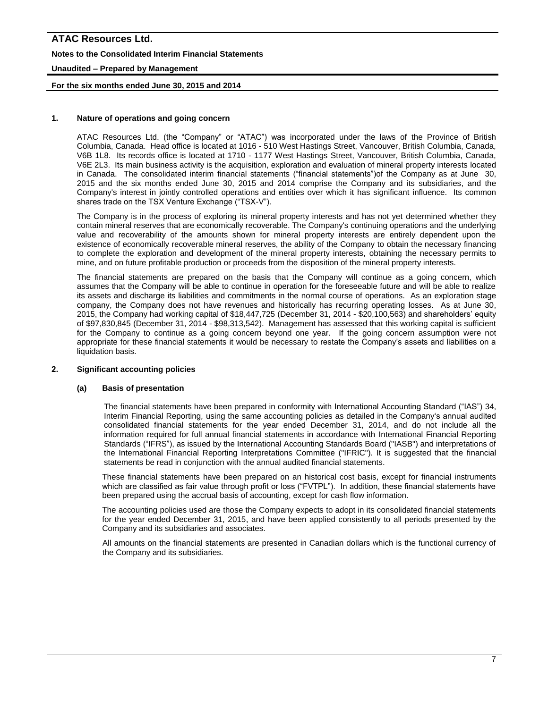# **ATAC Resources Ltd. Notes to the Consolidated Interim Financial Statements Unaudited – Prepared by Management**

# **For the six months ended June 30, 2015 and 2014**

# **1. Nature of operations and going concern**

ATAC Resources Ltd. (the "Company" or "ATAC") was incorporated under the laws of the Province of British Columbia, Canada. Head office is located at 1016 - 510 West Hastings Street, Vancouver, British Columbia, Canada, V6B 1L8. Its records office is located at 1710 - 1177 West Hastings Street, Vancouver, British Columbia, Canada, V6E 2L3. Its main business activity is the acquisition, exploration and evaluation of mineral property interests located in Canada. The consolidated interim financial statements ("financial statements")of the Company as at June 30, 2015 and the six months ended June 30, 2015 and 2014 comprise the Company and its subsidiaries, and the Company's interest in jointly controlled operations and entities over which it has significant influence. Its common shares trade on the TSX Venture Exchange ("TSX-V").

The Company is in the process of exploring its mineral property interests and has not yet determined whether they contain mineral reserves that are economically recoverable. The Company's continuing operations and the underlying value and recoverability of the amounts shown for mineral property interests are entirely dependent upon the existence of economically recoverable mineral reserves, the ability of the Company to obtain the necessary financing to complete the exploration and development of the mineral property interests, obtaining the necessary permits to mine, and on future profitable production or proceeds from the disposition of the mineral property interests.

The financial statements are prepared on the basis that the Company will continue as a going concern, which assumes that the Company will be able to continue in operation for the foreseeable future and will be able to realize its assets and discharge its liabilities and commitments in the normal course of operations. As an exploration stage company, the Company does not have revenues and historically has recurring operating losses. As at June 30, 2015, the Company had working capital of \$18,447,725 (December 31, 2014 - \$20,100,563) and shareholders' equity of \$97,830,845 (December 31, 2014 - \$98,313,542). Management has assessed that this working capital is sufficient for the Company to continue as a going concern beyond one year. If the going concern assumption were not appropriate for these financial statements it would be necessary to restate the Company's assets and liabilities on a liquidation basis.

# **2. Significant accounting policies**

# **(a) Basis of presentation**

The financial statements have been prepared in conformity with International Accounting Standard ("IAS") 34, Interim Financial Reporting*,* using the same accounting policies as detailed in the Company's annual audited consolidated financial statements for the year ended December 31, 2014, and do not include all the information required for full annual financial statements in accordance with International Financial Reporting Standards ("IFRS"), as issued by the International Accounting Standards Board ("IASB") and interpretations of the International Financial Reporting Interpretations Committee ("IFRIC"). It is suggested that the financial statements be read in conjunction with the annual audited financial statements.

These financial statements have been prepared on an historical cost basis, except for financial instruments which are classified as fair value through profit or loss ("FVTPL"). In addition, these financial statements have been prepared using the accrual basis of accounting, except for cash flow information.

The accounting policies used are those the Company expects to adopt in its consolidated financial statements for the year ended December 31, 2015, and have been applied consistently to all periods presented by the Company and its subsidiaries and associates.

All amounts on the financial statements are presented in Canadian dollars which is the functional currency of the Company and its subsidiaries.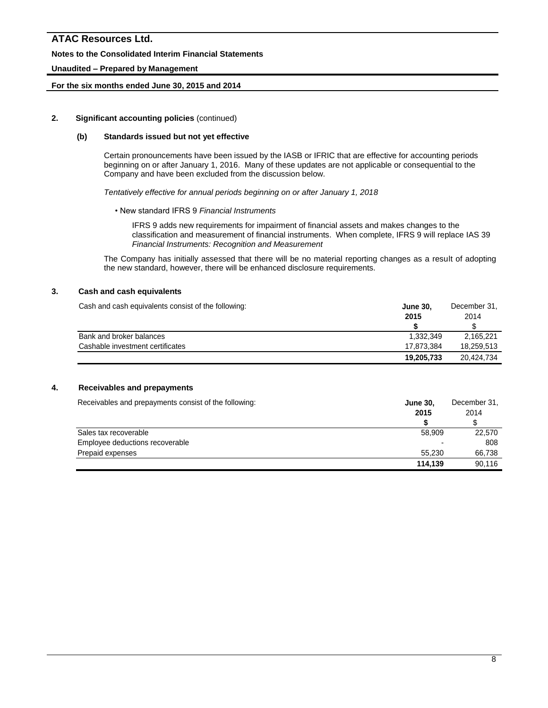### **Notes to the Consolidated Interim Financial Statements**

### **Unaudited – Prepared by Management**

### **For the six months ended June 30, 2015 and 2014**

### **2. Significant accounting policies** (continued)

### **(b) Standards issued but not yet effective**

Certain pronouncements have been issued by the IASB or IFRIC that are effective for accounting periods beginning on or after January 1, 2016. Many of these updates are not applicable or consequential to the Company and have been excluded from the discussion below.

*Tentatively effective for annual periods beginning on or after January 1, 2018*

• New standard IFRS 9 *Financial Instruments*

IFRS 9 adds new requirements for impairment of financial assets and makes changes to the classification and measurement of financial instruments. When complete, IFRS 9 will replace IAS 39 *Financial Instruments: Recognition and Measurement*

The Company has initially assessed that there will be no material reporting changes as a result of adopting the new standard, however, there will be enhanced disclosure requirements.

### **3. Cash and cash equivalents**

Cash and cash equivalents consist of the following: **June 30,** December 31,

|                                  | 2015       | 2014       |
|----------------------------------|------------|------------|
|                                  |            |            |
| Bank and broker balances         | 1.332.349  | 2.165.221  |
| Cashable investment certificates | 17.873.384 | 18.259.513 |
|                                  | 19,205,733 | 20,424,734 |

### **4. Receivables and prepayments**

| Receivables and prepayments consist of the following: | <b>June 30,</b> | December 31. |  |
|-------------------------------------------------------|-----------------|--------------|--|
|                                                       | 2015            | 2014         |  |
|                                                       |                 |              |  |
| Sales tax recoverable                                 | 58,909          | 22,570       |  |
| Employee deductions recoverable                       | ۰               | 808          |  |
| Prepaid expenses                                      | 55.230          | 66.738       |  |
|                                                       | 114.139         | 90.116       |  |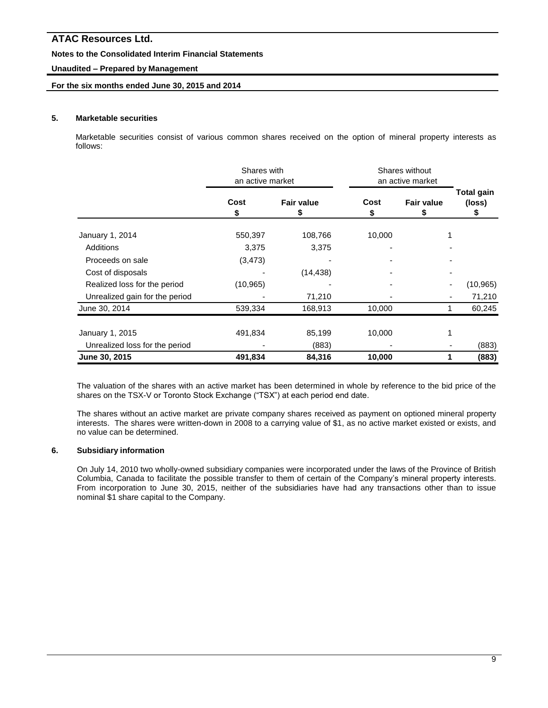### **Notes to the Consolidated Interim Financial Statements**

### **Unaudited – Prepared by Management**

# **For the six months ended June 30, 2015 and 2014**

### **5. Marketable securities**

Marketable securities consist of various common shares received on the option of mineral property interests as follows:

|                                | Shares with<br>an active market |                   | Shares without<br>an active market |                        |                                  |
|--------------------------------|---------------------------------|-------------------|------------------------------------|------------------------|----------------------------------|
|                                | Cost<br>\$                      | <b>Fair value</b> | Cost<br>S                          | <b>Fair value</b><br>S | <b>Total gain</b><br>(loss)<br>P |
| January 1, 2014                | 550,397                         | 108,766           | 10,000                             |                        |                                  |
| Additions                      | 3,375                           | 3,375             |                                    |                        |                                  |
| Proceeds on sale               | (3, 473)                        |                   |                                    |                        |                                  |
| Cost of disposals              |                                 | (14, 438)         |                                    |                        |                                  |
| Realized loss for the period   | (10, 965)                       |                   |                                    |                        | (10, 965)                        |
| Unrealized gain for the period |                                 | 71,210            |                                    |                        | 71,210<br>۰                      |
| June 30, 2014                  | 539,334                         | 168,913           | 10,000                             |                        | 60,245                           |
| January 1, 2015                | 491,834                         | 85,199            | 10,000                             |                        |                                  |
| Unrealized loss for the period |                                 | (883)             |                                    |                        | (883)                            |
| June 30, 2015                  | 491,834                         | 84,316            | 10,000                             |                        | (883)<br>1                       |

The valuation of the shares with an active market has been determined in whole by reference to the bid price of the shares on the TSX-V or Toronto Stock Exchange ("TSX") at each period end date.

The shares without an active market are private company shares received as payment on optioned mineral property interests. The shares were written-down in 2008 to a carrying value of \$1, as no active market existed or exists, and no value can be determined.

# **6. Subsidiary information**

On July 14, 2010 two wholly-owned subsidiary companies were incorporated under the laws of the Province of British Columbia, Canada to facilitate the possible transfer to them of certain of the Company's mineral property interests. From incorporation to June 30, 2015, neither of the subsidiaries have had any transactions other than to issue nominal \$1 share capital to the Company.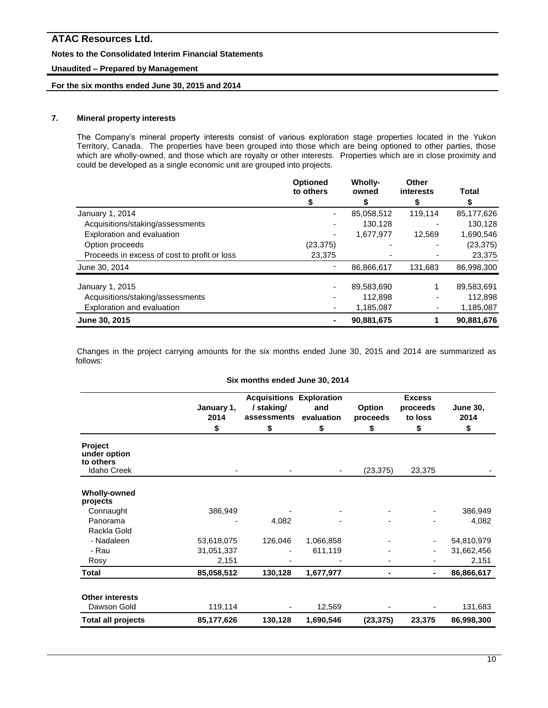### **Notes to the Consolidated Interim Financial Statements**

### **Unaudited – Prepared by Management**

# **For the six months ended June 30, 2015 and 2014**

# **7. Mineral property interests**

The Company's mineral property interests consist of various exploration stage properties located in the Yukon Territory, Canada. The properties have been grouped into those which are being optioned to other parties, those which are wholly-owned, and those which are royalty or other interests. Properties which are in close proximity and could be developed as a single economic unit are grouped into projects.

|                                              | <b>Optioned</b><br>to others | <b>Wholly-</b><br>owned | Other<br>interests | Total      |
|----------------------------------------------|------------------------------|-------------------------|--------------------|------------|
|                                              |                              |                         |                    |            |
| January 1, 2014                              |                              | 85,058,512              | 119,114            | 85,177,626 |
| Acquisitions/staking/assessments             |                              | 130.128                 |                    | 130,128    |
| Exploration and evaluation                   |                              | 1,677,977               | 12,569             | 1,690,546  |
| Option proceeds                              | (23, 375)                    |                         |                    | (23, 375)  |
| Proceeds in excess of cost to profit or loss | 23,375                       |                         |                    | 23,375     |
| June 30, 2014                                |                              | 86,866,617              | 131,683            | 86,998,300 |
| January 1, 2015                              |                              | 89,583,690              |                    | 89,583,691 |
| Acquisitions/staking/assessments             |                              | 112,898                 |                    | 112,898    |
| Exploration and evaluation                   |                              | 1,185,087               |                    | 1,185,087  |
| June 30, 2015                                |                              | 90,881,675              |                    | 90,881,676 |

Changes in the project carrying amounts for the six months ended June 30, 2015 and 2014 are summarized as follows:

#### **Six months ended June 30, 2014**

|                                                                   |                          | <b>Excess</b>                                                     |                         |                          |                           |                               |
|-------------------------------------------------------------------|--------------------------|-------------------------------------------------------------------|-------------------------|--------------------------|---------------------------|-------------------------------|
|                                                                   | January 1,<br>2014<br>\$ | <b>Acquisitions Exploration</b><br>/staking/<br>assessments<br>\$ | and<br>evaluation<br>\$ | Option<br>proceeds<br>\$ | proceeds<br>to loss<br>\$ | <b>June 30,</b><br>2014<br>\$ |
| <b>Project</b><br>under option<br>to others<br><b>Idaho Creek</b> |                          |                                                                   |                         | (23, 375)                | 23,375                    |                               |
|                                                                   |                          |                                                                   |                         |                          |                           |                               |
| <b>Wholly-owned</b><br>projects                                   |                          |                                                                   |                         |                          |                           |                               |
| Connaught                                                         | 386,949                  |                                                                   |                         |                          |                           | 386,949                       |
| Panorama                                                          |                          | 4,082                                                             |                         |                          |                           | 4,082                         |
| Rackla Gold                                                       |                          |                                                                   |                         |                          |                           |                               |
| - Nadaleen                                                        | 53,618,075               | 126,046                                                           | 1,066,858               |                          |                           | 54,810,979                    |
| - Rau                                                             | 31,051,337               |                                                                   | 611,119                 |                          | ٠                         | 31,662,456                    |
| Rosy                                                              | 2,151                    |                                                                   |                         |                          |                           | 2,151                         |
| <b>Total</b>                                                      | 85,058,512               | 130,128                                                           | 1,677,977               | -                        | ۰                         | 86,866,617                    |
| <b>Other interests</b>                                            |                          |                                                                   |                         |                          |                           |                               |
| Dawson Gold                                                       | 119,114                  |                                                                   | 12,569                  |                          |                           | 131,683                       |
| <b>Total all projects</b>                                         | 85,177,626               | 130,128                                                           | 1,690,546               | (23, 375)                | 23,375                    | 86,998,300                    |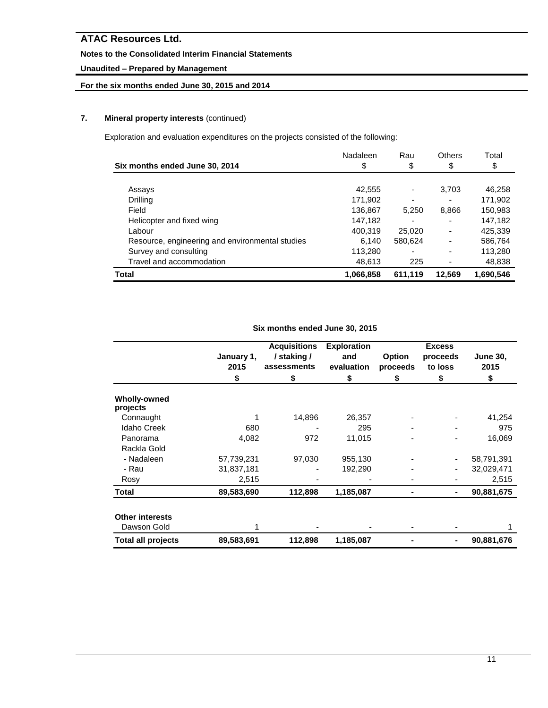# **Notes to the Consolidated Interim Financial Statements**

# **Unaudited – Prepared by Management**

# **For the six months ended June 30, 2015 and 2014**

# **7. Mineral property interests** (continued)

Exploration and evaluation expenditures on the projects consisted of the following:

|                                                 | Nadaleen  | Rau     | Others                   | Total     |
|-------------------------------------------------|-----------|---------|--------------------------|-----------|
| Six months ended June 30, 2014                  | \$        | \$      | \$                       | \$        |
|                                                 |           |         |                          |           |
| Assays                                          | 42,555    |         | 3,703                    | 46,258    |
| Drilling                                        | 171.902   |         |                          | 171,902   |
| Field                                           | 136,867   | 5,250   | 8,866                    | 150,983   |
| Helicopter and fixed wing                       | 147,182   |         |                          | 147,182   |
| Labour                                          | 400,319   | 25,020  | $\overline{\phantom{0}}$ | 425,339   |
| Resource, engineering and environmental studies | 6,140     | 580,624 |                          | 586,764   |
| Survey and consulting                           | 113,280   | -       |                          | 113,280   |
| Travel and accommodation                        | 48,613    | 225     |                          | 48,838    |
| Total                                           | 1,066,858 | 611,119 | 12,569                   | 1,690,546 |

**Six months ended June 30, 2015**

|                                       |                    | <b>Acquisitions</b>        | <b>Exploration</b> |                           | <b>Excess</b>       |                         |
|---------------------------------------|--------------------|----------------------------|--------------------|---------------------------|---------------------|-------------------------|
|                                       | January 1,<br>2015 | / staking /<br>assessments | and<br>evaluation  | <b>Option</b><br>proceeds | proceeds<br>to loss | <b>June 30,</b><br>2015 |
|                                       | \$                 | \$                         | \$                 | \$                        | \$                  | \$                      |
| <b>Wholly-owned</b><br>projects       |                    |                            |                    |                           |                     |                         |
| Connaught                             |                    | 14,896                     | 26,357             |                           |                     | 41,254                  |
| <b>Idaho Creek</b>                    | 680                |                            | 295                |                           |                     | 975                     |
| Panorama                              | 4,082              | 972                        | 11,015             |                           |                     | 16,069                  |
| Rackla Gold                           |                    |                            |                    |                           |                     |                         |
| - Nadaleen                            | 57,739,231         | 97,030                     | 955,130            |                           |                     | 58,791,391              |
| - Rau                                 | 31,837,181         |                            | 192,290            |                           |                     | 32,029,471              |
| Rosy                                  | 2,515              |                            |                    |                           |                     | 2,515                   |
| Total                                 | 89,583,690         | 112,898                    | 1,185,087          |                           | $\blacksquare$      | 90,881,675              |
| <b>Other interests</b><br>Dawson Gold |                    |                            |                    |                           |                     |                         |
| <b>Total all projects</b>             | 89,583,691         | 112,898                    | 1,185,087          |                           | $\blacksquare$      | 90,881,676              |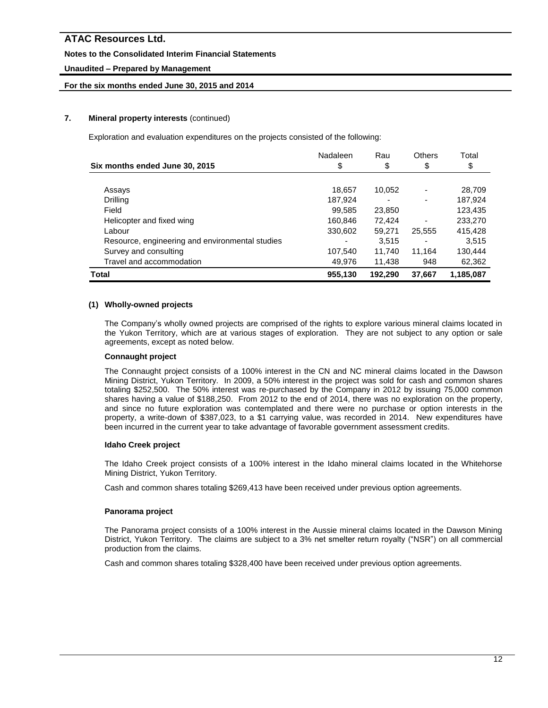# **Notes to the Consolidated Interim Financial Statements**

# **Unaudited – Prepared by Management**

# **For the six months ended June 30, 2015 and 2014**

# **7. Mineral property interests** (continued)

Exploration and evaluation expenditures on the projects consisted of the following:

|                                                 | Nadaleen | Rau     | <b>Others</b> | Total     |
|-------------------------------------------------|----------|---------|---------------|-----------|
| Six months ended June 30, 2015                  | \$       | \$      | \$            | \$        |
|                                                 |          |         |               |           |
| Assays                                          | 18,657   | 10,052  |               | 28,709    |
| <b>Drilling</b>                                 | 187.924  |         |               | 187,924   |
| Field                                           | 99,585   | 23,850  |               | 123,435   |
| Helicopter and fixed wing                       | 160.846  | 72.424  |               | 233,270   |
| Labour                                          | 330,602  | 59,271  | 25,555        | 415,428   |
| Resource, engineering and environmental studies |          | 3,515   |               | 3,515     |
| Survey and consulting                           | 107,540  | 11,740  | 11.164        | 130,444   |
| Travel and accommodation                        | 49.976   | 11.438  | 948           | 62,362    |
| Total                                           | 955,130  | 192,290 | 37.667        | 1,185,087 |

### **(1) Wholly-owned projects**

The Company's wholly owned projects are comprised of the rights to explore various mineral claims located in the Yukon Territory, which are at various stages of exploration. They are not subject to any option or sale agreements, except as noted below.

### **Connaught project**

The Connaught project consists of a 100% interest in the CN and NC mineral claims located in the Dawson Mining District, Yukon Territory. In 2009, a 50% interest in the project was sold for cash and common shares totaling \$252,500. The 50% interest was re-purchased by the Company in 2012 by issuing 75,000 common shares having a value of \$188,250. From 2012 to the end of 2014, there was no exploration on the property, and since no future exploration was contemplated and there were no purchase or option interests in the property, a write-down of \$387,023, to a \$1 carrying value, was recorded in 2014. New expenditures have been incurred in the current year to take advantage of favorable government assessment credits.

### **Idaho Creek project**

The Idaho Creek project consists of a 100% interest in the Idaho mineral claims located in the Whitehorse Mining District, Yukon Territory.

Cash and common shares totaling \$269,413 have been received under previous option agreements.

# **Panorama project**

The Panorama project consists of a 100% interest in the Aussie mineral claims located in the Dawson Mining District, Yukon Territory. The claims are subject to a 3% net smelter return royalty ("NSR") on all commercial production from the claims.

Cash and common shares totaling \$328,400 have been received under previous option agreements.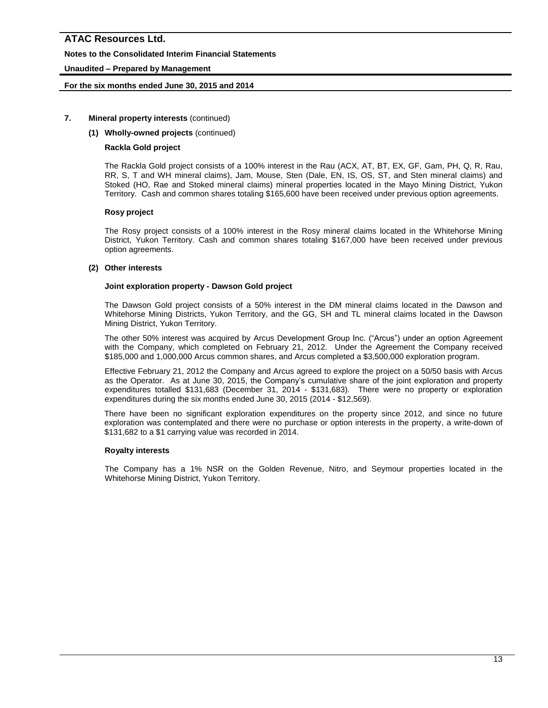### **Notes to the Consolidated Interim Financial Statements**

### **Unaudited – Prepared by Management**

### **For the six months ended June 30, 2015 and 2014**

### **7. Mineral property interests** (continued)

### **(1) Wholly-owned projects** (continued)

### **Rackla Gold project**

The Rackla Gold project consists of a 100% interest in the Rau (ACX, AT, BT, EX, GF, Gam, PH, Q, R, Rau, RR, S, T and WH mineral claims), Jam, Mouse, Sten (Dale, EN, IS, OS, ST, and Sten mineral claims) and Stoked (HO, Rae and Stoked mineral claims) mineral properties located in the Mayo Mining District, Yukon Territory. Cash and common shares totaling \$165,600 have been received under previous option agreements.

### **Rosy project**

The Rosy project consists of a 100% interest in the Rosy mineral claims located in the Whitehorse Mining District, Yukon Territory. Cash and common shares totaling \$167,000 have been received under previous option agreements.

### **(2) Other interests**

### **Joint exploration property - Dawson Gold project**

The Dawson Gold project consists of a 50% interest in the DM mineral claims located in the Dawson and Whitehorse Mining Districts, Yukon Territory, and the GG, SH and TL mineral claims located in the Dawson Mining District, Yukon Territory.

The other 50% interest was acquired by Arcus Development Group Inc. ("Arcus") under an option Agreement with the Company, which completed on February 21, 2012. Under the Agreement the Company received \$185,000 and 1,000,000 Arcus common shares, and Arcus completed a \$3,500,000 exploration program.

Effective February 21, 2012 the Company and Arcus agreed to explore the project on a 50/50 basis with Arcus as the Operator. As at June 30, 2015, the Company's cumulative share of the joint exploration and property expenditures totalled \$131,683 (December 31, 2014 - \$131,683). There were no property or exploration expenditures during the six months ended June 30, 2015 (2014 - \$12,569).

There have been no significant exploration expenditures on the property since 2012, and since no future exploration was contemplated and there were no purchase or option interests in the property, a write-down of \$131,682 to a \$1 carrying value was recorded in 2014.

### **Royalty interests**

The Company has a 1% NSR on the Golden Revenue, Nitro, and Seymour properties located in the Whitehorse Mining District, Yukon Territory.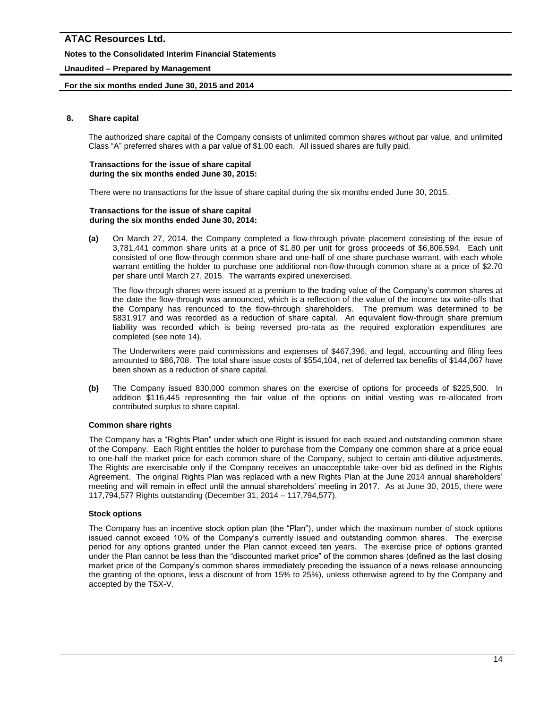### **Notes to the Consolidated Interim Financial Statements**

### **Unaudited – Prepared by Management**

### **For the six months ended June 30, 2015 and 2014**

### **8. Share capital**

The authorized share capital of the Company consists of unlimited common shares without par value, and unlimited Class "A" preferred shares with a par value of \$1.00 each. All issued shares are fully paid.

#### **Transactions for the issue of share capital during the six months ended June 30, 2015:**

There were no transactions for the issue of share capital during the six months ended June 30, 2015.

#### **Transactions for the issue of share capital during the six months ended June 30, 2014:**

**(a)** On March 27, 2014, the Company completed a flow-through private placement consisting of the issue of 3,781,441 common share units at a price of \$1.80 per unit for gross proceeds of \$6,806,594. Each unit consisted of one flow-through common share and one-half of one share purchase warrant, with each whole warrant entitling the holder to purchase one additional non-flow-through common share at a price of \$2.70 per share until March 27, 2015. The warrants expired unexercised.

The flow-through shares were issued at a premium to the trading value of the Company's common shares at the date the flow-through was announced, which is a reflection of the value of the income tax write-offs that the Company has renounced to the flow-through shareholders. The premium was determined to be \$831,917 and was recorded as a reduction of share capital. An equivalent flow-through share premium liability was recorded which is being reversed pro-rata as the required exploration expenditures are completed (see note 14).

The Underwriters were paid commissions and expenses of \$467,396, and legal, accounting and filing fees amounted to \$86,708. The total share issue costs of \$554,104, net of deferred tax benefits of \$144,067 have been shown as a reduction of share capital.

**(b)** The Company issued 830,000 common shares on the exercise of options for proceeds of \$225,500. In addition \$116,445 representing the fair value of the options on initial vesting was re-allocated from contributed surplus to share capital.

### **Common share rights**

The Company has a "Rights Plan" under which one Right is issued for each issued and outstanding common share of the Company. Each Right entitles the holder to purchase from the Company one common share at a price equal to one-half the market price for each common share of the Company, subject to certain anti-dilutive adjustments. The Rights are exercisable only if the Company receives an unacceptable take-over bid as defined in the Rights Agreement. The original Rights Plan was replaced with a new Rights Plan at the June 2014 annual shareholders' meeting and will remain in effect until the annual shareholders' meeting in 2017. As at June 30, 2015, there were 117,794,577 Rights outstanding (December 31, 2014 – 117,794,577).

# **Stock options**

The Company has an incentive stock option plan (the "Plan"), under which the maximum number of stock options issued cannot exceed 10% of the Company's currently issued and outstanding common shares. The exercise period for any options granted under the Plan cannot exceed ten years. The exercise price of options granted under the Plan cannot be less than the "discounted market price" of the common shares (defined as the last closing market price of the Company's common shares immediately preceding the issuance of a news release announcing the granting of the options, less a discount of from 15% to 25%), unless otherwise agreed to by the Company and accepted by the TSX-V.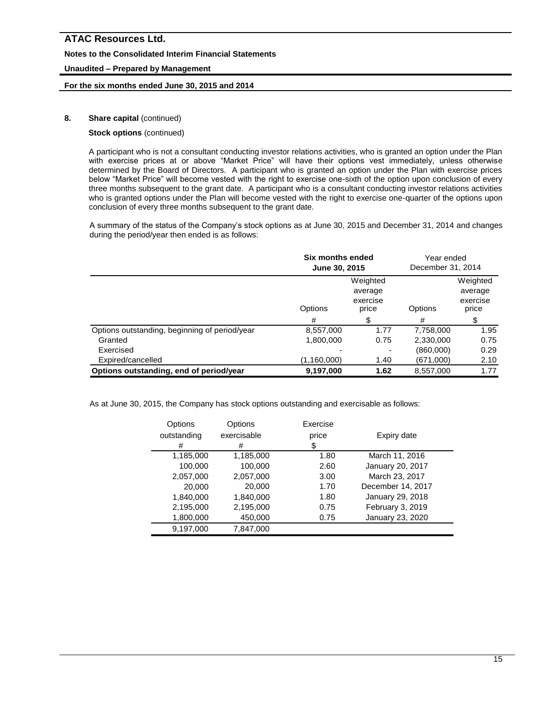### **Notes to the Consolidated Interim Financial Statements**

### **Unaudited – Prepared by Management**

### **For the six months ended June 30, 2015 and 2014**

### **8.** Share capital (continued)

### **Stock options** (continued)

A participant who is not a consultant conducting investor relations activities, who is granted an option under the Plan with exercise prices at or above "Market Price" will have their options vest immediately, unless otherwise determined by the Board of Directors. A participant who is granted an option under the Plan with exercise prices below "Market Price" will become vested with the right to exercise one-sixth of the option upon conclusion of every three months subsequent to the grant date. A participant who is a consultant conducting investor relations activities who is granted options under the Plan will become vested with the right to exercise one-quarter of the options upon conclusion of every three months subsequent to the grant date.

A summary of the status of the Company's stock options as at June 30, 2015 and December 31, 2014 and changes during the period/year then ended is as follows:

|                                               | Six months ended<br>June 30, 2015 |         | Year ended<br>December 31, 2014          |      |
|-----------------------------------------------|-----------------------------------|---------|------------------------------------------|------|
|                                               | Options                           | Options | Weighted<br>average<br>exercise<br>price |      |
|                                               | #                                 |         | #                                        | \$   |
| Options outstanding, beginning of period/year | 8,557,000                         | 1.77    | 7,758,000                                | 1.95 |
| Granted                                       | 1,800,000                         | 0.75    | 2,330,000                                | 0.75 |
| Exercised                                     |                                   |         | (860,000)                                | 0.29 |
| Expired/cancelled                             | (1,160,000)                       | 1.40    | (671,000)                                | 2.10 |
| Options outstanding, end of period/year       | 9,197,000                         | 1.62    | 8,557,000                                | 1.77 |

As at June 30, 2015, the Company has stock options outstanding and exercisable as follows:

| Options<br>outstanding<br># | Options<br>exercisable<br># | Exercise<br>price<br>\$ | Expiry date       |
|-----------------------------|-----------------------------|-------------------------|-------------------|
| 1,185,000                   | 1,185,000                   | 1.80                    | March 11, 2016    |
| 100,000                     | 100,000                     | 2.60                    | January 20, 2017  |
| 2,057,000                   | 2,057,000                   | 3.00                    | March 23, 2017    |
| 20,000                      | 20,000                      | 1.70                    | December 14, 2017 |
| 1,840,000                   | 1,840,000                   | 1.80                    | January 29, 2018  |
| 2,195,000                   | 2,195,000                   | 0.75                    | February 3, 2019  |
| 1,800,000                   | 450,000                     | 0.75                    | January 23, 2020  |
| 9,197,000                   | 7,847,000                   |                         |                   |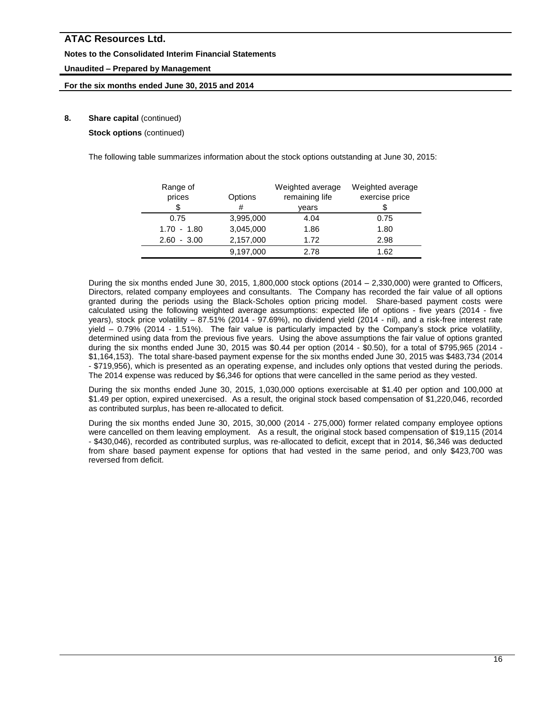### **Notes to the Consolidated Interim Financial Statements**

# **Unaudited – Prepared by Management**

### **For the six months ended June 30, 2015 and 2014**

# **8.** Share capital (continued)

**Stock options** (continued)

The following table summarizes information about the stock options outstanding at June 30, 2015:

| Range of<br>prices | Options   | Weighted average<br>remaining life | Weighted average<br>exercise price |
|--------------------|-----------|------------------------------------|------------------------------------|
| \$                 | #         | vears                              |                                    |
| 0.75               | 3,995,000 | 4.04                               | 0.75                               |
| $1.70 - 1.80$      | 3,045,000 | 1.86                               | 1.80                               |
| $-3.00$<br>2.60    | 2,157,000 | 1.72                               | 2.98                               |
|                    | 9,197,000 | 2.78                               | 1.62                               |

During the six months ended June 30, 2015, 1,800,000 stock options (2014 – 2,330,000) were granted to Officers, Directors, related company employees and consultants. The Company has recorded the fair value of all options granted during the periods using the Black-Scholes option pricing model. Share-based payment costs were calculated using the following weighted average assumptions: expected life of options - five years (2014 - five years), stock price volatility - 87.51% (2014 - 97.69%), no dividend yield (2014 - nil), and a risk-free interest rate yield – 0.79% (2014 - 1.51%). The fair value is particularly impacted by the Company's stock price volatility, determined using data from the previous five years. Using the above assumptions the fair value of options granted during the six months ended June 30, 2015 was \$0.44 per option (2014 - \$0.50), for a total of \$795,965 (2014 - \$1,164,153). The total share-based payment expense for the six months ended June 30, 2015 was \$483,734 (2014 - \$719,956), which is presented as an operating expense, and includes only options that vested during the periods. The 2014 expense was reduced by \$6,346 for options that were cancelled in the same period as they vested.

During the six months ended June 30, 2015, 1,030,000 options exercisable at \$1.40 per option and 100,000 at \$1.49 per option, expired unexercised. As a result, the original stock based compensation of \$1,220,046, recorded as contributed surplus, has been re-allocated to deficit.

During the six months ended June 30, 2015, 30,000 (2014 - 275,000) former related company employee options were cancelled on them leaving employment. As a result, the original stock based compensation of \$19,115 (2014 - \$430,046), recorded as contributed surplus, was re-allocated to deficit, except that in 2014, \$6,346 was deducted from share based payment expense for options that had vested in the same period, and only \$423,700 was reversed from deficit.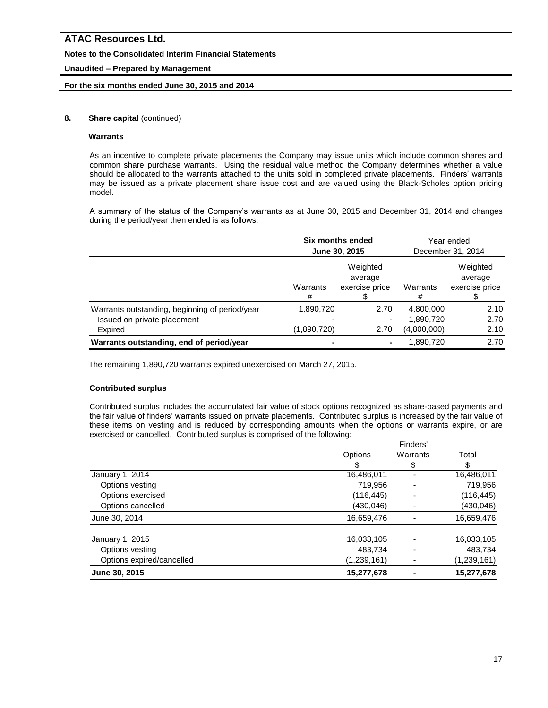### **Notes to the Consolidated Interim Financial Statements**

### **Unaudited – Prepared by Management**

### **For the six months ended June 30, 2015 and 2014**

### **8.** Share capital (continued)

### **Warrants**

As an incentive to complete private placements the Company may issue units which include common shares and common share purchase warrants. Using the residual value method the Company determines whether a value should be allocated to the warrants attached to the units sold in completed private placements. Finders' warrants may be issued as a private placement share issue cost and are valued using the Black-Scholes option pricing model.

A summary of the status of the Company's warrants as at June 30, 2015 and December 31, 2014 and changes during the period/year then ended is as follows:

|                                                | Six months ended<br>June 30, 2015 |                                       |               | Year ended<br>December 31, 2014       |
|------------------------------------------------|-----------------------------------|---------------------------------------|---------------|---------------------------------------|
|                                                | Warrants<br>#                     | Weighted<br>average<br>exercise price | Warrants<br># | Weighted<br>average<br>exercise price |
| Warrants outstanding, beginning of period/year | 1,890,720                         | 2.70                                  | 4,800,000     | 2.10                                  |
| Issued on private placement                    |                                   | ۰                                     | 1,890,720     | 2.70                                  |
| Expired                                        | (1,890,720)                       | 2.70                                  | (4,800,000)   | 2.10                                  |
| Warrants outstanding, end of period/year       |                                   |                                       | 1,890,720     | 2.70                                  |

The remaining 1,890,720 warrants expired unexercised on March 27, 2015.

# **Contributed surplus**

Contributed surplus includes the accumulated fair value of stock options recognized as share-based payments and the fair value of finders' warrants issued on private placements. Contributed surplus is increased by the fair value of these items on vesting and is reduced by corresponding amounts when the options or warrants expire, or are exercised or cancelled. Contributed surplus is comprised of the following: Finders'

|                           | <b>FINGUS</b>  |          |             |  |
|---------------------------|----------------|----------|-------------|--|
|                           | <b>Options</b> | Warrants | Total       |  |
|                           | S              |          |             |  |
| January 1, 2014           | 16,486,011     |          | 16,486,011  |  |
| Options vesting           | 719,956        |          | 719,956     |  |
| Options exercised         | (116, 445)     |          | (116, 445)  |  |
| Options cancelled         | (430, 046)     |          | (430,046)   |  |
| June 30, 2014             | 16,659,476     |          | 16,659,476  |  |
| January 1, 2015           | 16,033,105     |          | 16,033,105  |  |
| Options vesting           | 483.734        | -        | 483,734     |  |
| Options expired/cancelled | (1,239,161)    |          | (1,239,161) |  |
| June 30, 2015             | 15,277,678     |          | 15,277,678  |  |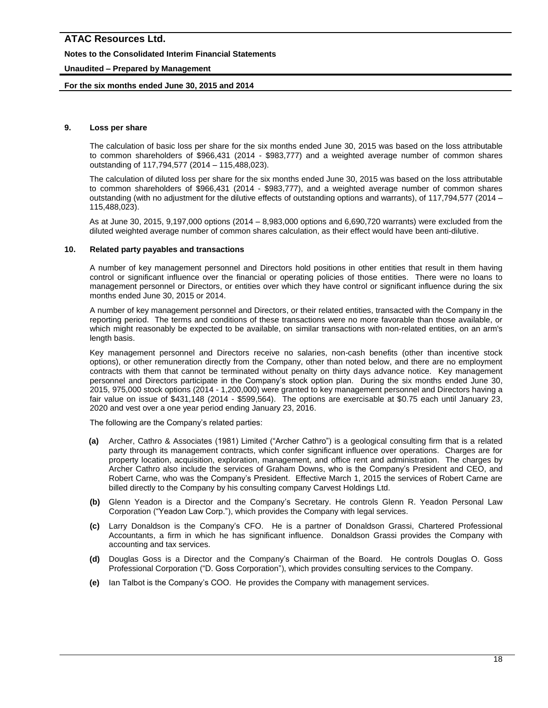### **Notes to the Consolidated Interim Financial Statements**

### **Unaudited – Prepared by Management**

### **For the six months ended June 30, 2015 and 2014**

### **9. Loss per share**

The calculation of basic loss per share for the six months ended June 30, 2015 was based on the loss attributable to common shareholders of \$966,431 (2014 - \$983,777) and a weighted average number of common shares outstanding of 117,794,577 (2014 – 115,488,023).

The calculation of diluted loss per share for the six months ended June 30, 2015 was based on the loss attributable to common shareholders of \$966,431 (2014 - \$983,777), and a weighted average number of common shares outstanding (with no adjustment for the dilutive effects of outstanding options and warrants), of 117,794,577 (2014 – 115,488,023).

As at June 30, 2015, 9,197,000 options (2014 – 8,983,000 options and 6,690,720 warrants) were excluded from the diluted weighted average number of common shares calculation, as their effect would have been anti-dilutive.

### **10. Related party payables and transactions**

A number of key management personnel and Directors hold positions in other entities that result in them having control or significant influence over the financial or operating policies of those entities. There were no loans to management personnel or Directors, or entities over which they have control or significant influence during the six months ended June 30, 2015 or 2014.

A number of key management personnel and Directors, or their related entities, transacted with the Company in the reporting period. The terms and conditions of these transactions were no more favorable than those available, or which might reasonably be expected to be available, on similar transactions with non-related entities, on an arm's length basis.

Key management personnel and Directors receive no salaries, non-cash benefits (other than incentive stock options), or other remuneration directly from the Company, other than noted below, and there are no employment contracts with them that cannot be terminated without penalty on thirty days advance notice. Key management personnel and Directors participate in the Company's stock option plan. During the six months ended June 30, 2015, 975,000 stock options (2014 - 1,200,000) were granted to key management personnel and Directors having a fair value on issue of \$431,148 (2014 - \$599,564). The options are exercisable at \$0.75 each until January 23, 2020 and vest over a one year period ending January 23, 2016.

The following are the Company's related parties:

- **(a)** Archer, Cathro & Associates (1981) Limited ("Archer Cathro") is a geological consulting firm that is a related party through its management contracts, which confer significant influence over operations. Charges are for property location, acquisition, exploration, management, and office rent and administration. The charges by Archer Cathro also include the services of Graham Downs, who is the Company's President and CEO, and Robert Carne, who was the Company's President. Effective March 1, 2015 the services of Robert Carne are billed directly to the Company by his consulting company Carvest Holdings Ltd.
- **(b)** Glenn Yeadon is a Director and the Company's Secretary. He controls Glenn R. Yeadon Personal Law Corporation ("Yeadon Law Corp."), which provides the Company with legal services.
- **(c)** Larry Donaldson is the Company's CFO. He is a partner of Donaldson Grassi, Chartered Professional Accountants, a firm in which he has significant influence. Donaldson Grassi provides the Company with accounting and tax services.
- **(d)** Douglas Goss is a Director and the Company's Chairman of the Board. He controls Douglas O. Goss Professional Corporation ("D. Goss Corporation"), which provides consulting services to the Company.
- **(e)** Ian Talbot is the Company's COO. He provides the Company with management services.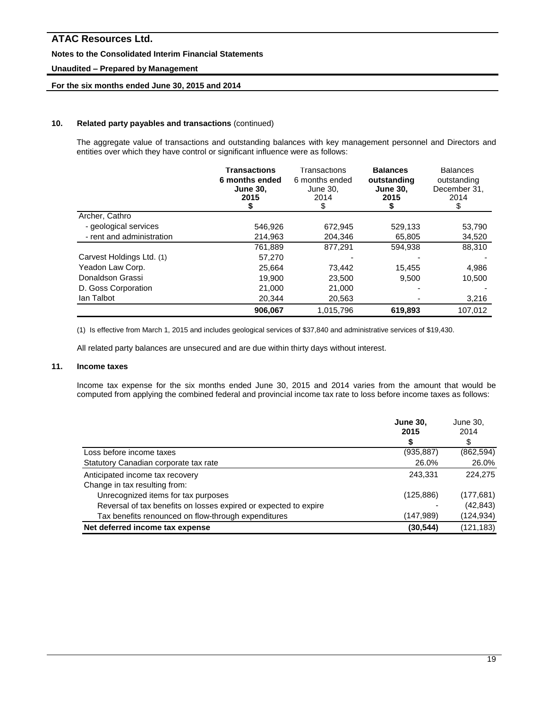### **Notes to the Consolidated Interim Financial Statements**

### **Unaudited – Prepared by Management**

# **For the six months ended June 30, 2015 and 2014**

### **10. Related party payables and transactions** (continued)

The aggregate value of transactions and outstanding balances with key management personnel and Directors and entities over which they have control or significant influence were as follows:

|                           | <b>Transactions</b><br>6 months ended<br><b>June 30,</b><br>2015 | Transactions<br>6 months ended<br>June 30,<br>2014<br>\$ | <b>Balances</b><br>outstanding<br><b>June 30,</b><br>2015 | <b>Balances</b><br>outstanding<br>December 31,<br>2014 |
|---------------------------|------------------------------------------------------------------|----------------------------------------------------------|-----------------------------------------------------------|--------------------------------------------------------|
| Archer, Cathro            |                                                                  |                                                          |                                                           |                                                        |
| - geological services     | 546,926                                                          | 672,945                                                  | 529,133                                                   | 53,790                                                 |
| - rent and administration | 214,963                                                          | 204.346                                                  | 65,805                                                    | 34,520                                                 |
|                           | 761,889                                                          | 877.291                                                  | 594.938                                                   | 88.310                                                 |
| Carvest Holdings Ltd. (1) | 57,270                                                           |                                                          |                                                           |                                                        |
| Yeadon Law Corp.          | 25,664                                                           | 73,442                                                   | 15,455                                                    | 4,986                                                  |
| Donaldson Grassi          | 19.900                                                           | 23,500                                                   | 9.500                                                     | 10,500                                                 |
| D. Goss Corporation       | 21,000                                                           | 21,000                                                   |                                                           |                                                        |
| lan Talbot                | 20,344                                                           | 20,563                                                   |                                                           | 3,216                                                  |
|                           | 906,067                                                          | 1,015,796                                                | 619,893                                                   | 107,012                                                |

(1) Is effective from March 1, 2015 and includes geological services of \$37,840 and administrative services of \$19,430.

All related party balances are unsecured and are due within thirty days without interest.

# **11. Income taxes**

Income tax expense for the six months ended June 30, 2015 and 2014 varies from the amount that would be computed from applying the combined federal and provincial income tax rate to loss before income taxes as follows:

|                                                                  | <b>June 30,</b><br>2015 | June 30,<br>2014 |
|------------------------------------------------------------------|-------------------------|------------------|
|                                                                  |                         | \$               |
| Loss before income taxes                                         | (935, 887)              | (862, 594)       |
| Statutory Canadian corporate tax rate                            | 26.0%                   | 26.0%            |
| Anticipated income tax recovery                                  | 243.331                 | 224.275          |
| Change in tax resulting from:                                    |                         |                  |
| Unrecognized items for tax purposes                              | (125, 886)              | (177, 681)       |
| Reversal of tax benefits on losses expired or expected to expire |                         | (42, 843)        |
| Tax benefits renounced on flow-through expenditures              | (147,989)               | (124,934)        |
| Net deferred income tax expense                                  | (30, 544)               | (121, 183)       |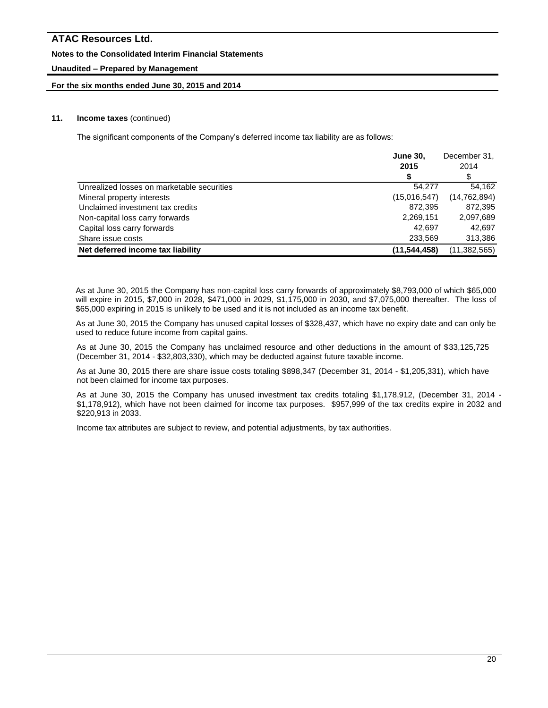### **Notes to the Consolidated Interim Financial Statements**

# **Unaudited – Prepared by Management**

### **For the six months ended June 30, 2015 and 2014**

### **11. Income taxes** (continued)

The significant components of the Company's deferred income tax liability are as follows:

|                                            | <b>June 30.</b> |                |
|--------------------------------------------|-----------------|----------------|
|                                            | 2015            | 2014           |
|                                            |                 | \$             |
| Unrealized losses on marketable securities | 54.277          | 54.162         |
| Mineral property interests                 | (15,016,547)    | (14, 762, 894) |
| Unclaimed investment tax credits           | 872,395         | 872,395        |
| Non-capital loss carry forwards            | 2,269,151       | 2,097,689      |
| Capital loss carry forwards                | 42.697          | 42.697         |
| Share issue costs                          | 233,569         | 313,386        |
| Net deferred income tax liability          | (11, 544, 458)  | (11,382,565)   |

As at June 30, 2015 the Company has non-capital loss carry forwards of approximately \$8,793,000 of which \$65,000 will expire in 2015, \$7,000 in 2028, \$471,000 in 2029, \$1,175,000 in 2030, and \$7,075,000 thereafter. The loss of \$65,000 expiring in 2015 is unlikely to be used and it is not included as an income tax benefit.

As at June 30, 2015 the Company has unused capital losses of \$328,437, which have no expiry date and can only be used to reduce future income from capital gains.

As at June 30, 2015 the Company has unclaimed resource and other deductions in the amount of \$33,125,725 (December 31, 2014 - \$32,803,330), which may be deducted against future taxable income.

As at June 30, 2015 there are share issue costs totaling \$898,347 (December 31, 2014 - \$1,205,331), which have not been claimed for income tax purposes.

As at June 30, 2015 the Company has unused investment tax credits totaling \$1,178,912, (December 31, 2014 - \$1,178,912), which have not been claimed for income tax purposes. \$957,999 of the tax credits expire in 2032 and \$220,913 in 2033.

Income tax attributes are subject to review, and potential adjustments, by tax authorities.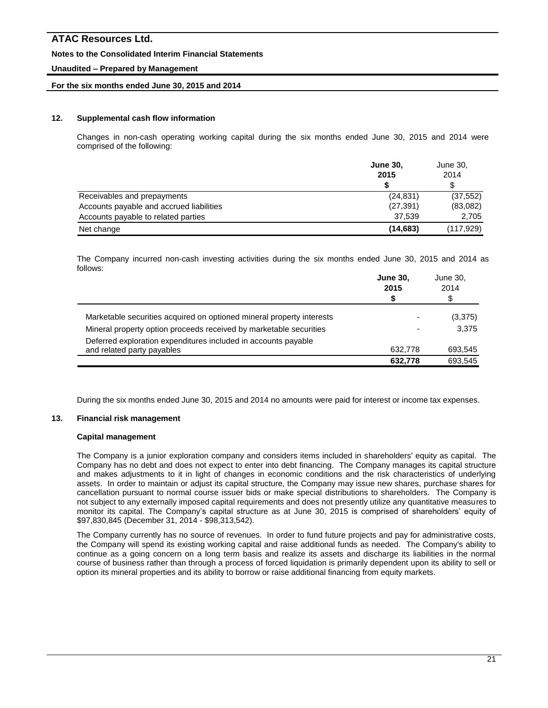### **Notes to the Consolidated Interim Financial Statements**

### **Unaudited – Prepared by Management**

### **For the six months ended June 30, 2015 and 2014**

### **12. Supplemental cash flow information**

Changes in non-cash operating working capital during the six months ended June 30, 2015 and 2014 were comprised of the following:

|                                          | <b>June 30,</b><br>2015 | June 30,<br>2014 |
|------------------------------------------|-------------------------|------------------|
|                                          |                         | \$               |
| Receivables and prepayments              | (24, 831)               | (37, 552)        |
| Accounts payable and accrued liabilities | (27, 391)               | (83,082)         |
| Accounts payable to related parties      | 37.539                  | 2,705            |
| Net change                               | (14, 683)               | (117, 929)       |

The Company incurred non-cash investing activities during the six months ended June 30, 2015 and 2014 as follows:

|                                                                                              | <b>June 30,</b><br>2015<br>S | June 30,<br>2014<br>\$ |
|----------------------------------------------------------------------------------------------|------------------------------|------------------------|
| Marketable securities acquired on optioned mineral property interests                        | $\overline{\phantom{0}}$     | (3,375)                |
| Mineral property option proceeds received by marketable securities                           | $\overline{\phantom{0}}$     | 3,375                  |
| Deferred exploration expenditures included in accounts payable<br>and related party payables | 632.778                      | 693.545                |
|                                                                                              | 632,778                      | 693.545                |

During the six months ended June 30, 2015 and 2014 no amounts were paid for interest or income tax expenses.

### **13. Financial risk management**

#### **Capital management**

The Company is a junior exploration company and considers items included in shareholders' equity as capital. The Company has no debt and does not expect to enter into debt financing. The Company manages its capital structure and makes adjustments to it in light of changes in economic conditions and the risk characteristics of underlying assets. In order to maintain or adjust its capital structure, the Company may issue new shares, purchase shares for cancellation pursuant to normal course issuer bids or make special distributions to shareholders. The Company is not subject to any externally imposed capital requirements and does not presently utilize any quantitative measures to monitor its capital. The Company's capital structure as at June 30, 2015 is comprised of shareholders' equity of \$97,830,845 (December 31, 2014 - \$98,313,542).

The Company currently has no source of revenues. In order to fund future projects and pay for administrative costs, the Company will spend its existing working capital and raise additional funds as needed. The Company's ability to continue as a going concern on a long term basis and realize its assets and discharge its liabilities in the normal course of business rather than through a process of forced liquidation is primarily dependent upon its ability to sell or option its mineral properties and its ability to borrow or raise additional financing from equity markets.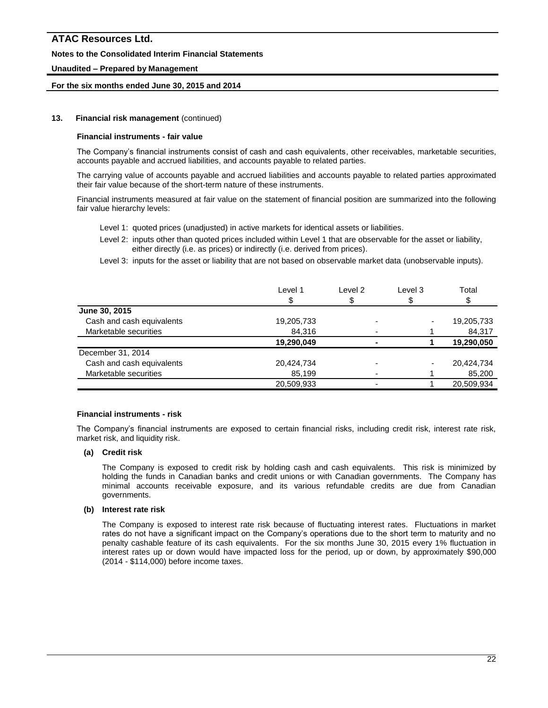### **Notes to the Consolidated Interim Financial Statements**

### **Unaudited – Prepared by Management**

### **For the six months ended June 30, 2015 and 2014**

### **13. Financial risk management** (continued)

#### **Financial instruments - fair value**

The Company's financial instruments consist of cash and cash equivalents, other receivables, marketable securities, accounts payable and accrued liabilities, and accounts payable to related parties.

The carrying value of accounts payable and accrued liabilities and accounts payable to related parties approximated their fair value because of the short-term nature of these instruments.

Financial instruments measured at fair value on the statement of financial position are summarized into the following fair value hierarchy levels:

- Level 1: quoted prices (unadjusted) in active markets for identical assets or liabilities.
- Level 2: inputs other than quoted prices included within Level 1 that are observable for the asset or liability, either directly (i.e. as prices) or indirectly (i.e. derived from prices).
- Level 3: inputs for the asset or liability that are not based on observable market data (unobservable inputs).

| Level 1    | Level 2 | Level 3 | Total      |
|------------|---------|---------|------------|
|            |         |         |            |
|            |         |         |            |
| 19,205,733 |         |         | 19,205,733 |
| 84.316     |         |         | 84,317     |
| 19,290,049 |         |         | 19,290,050 |
|            |         |         |            |
| 20,424,734 |         |         | 20,424,734 |
| 85,199     |         |         | 85,200     |
| 20,509,933 |         |         | 20,509,934 |
|            | \$      |         |            |

#### **Financial instruments - risk**

The Company's financial instruments are exposed to certain financial risks, including credit risk, interest rate risk, market risk, and liquidity risk.

### **(a) Credit risk**

The Company is exposed to credit risk by holding cash and cash equivalents. This risk is minimized by holding the funds in Canadian banks and credit unions or with Canadian governments. The Company has minimal accounts receivable exposure, and its various refundable credits are due from Canadian governments.

### **(b) Interest rate risk**

The Company is exposed to interest rate risk because of fluctuating interest rates. Fluctuations in market rates do not have a significant impact on the Company's operations due to the short term to maturity and no penalty cashable feature of its cash equivalents. For the six months June 30, 2015 every 1% fluctuation in interest rates up or down would have impacted loss for the period, up or down, by approximately \$90,000 (2014 - \$114,000) before income taxes.